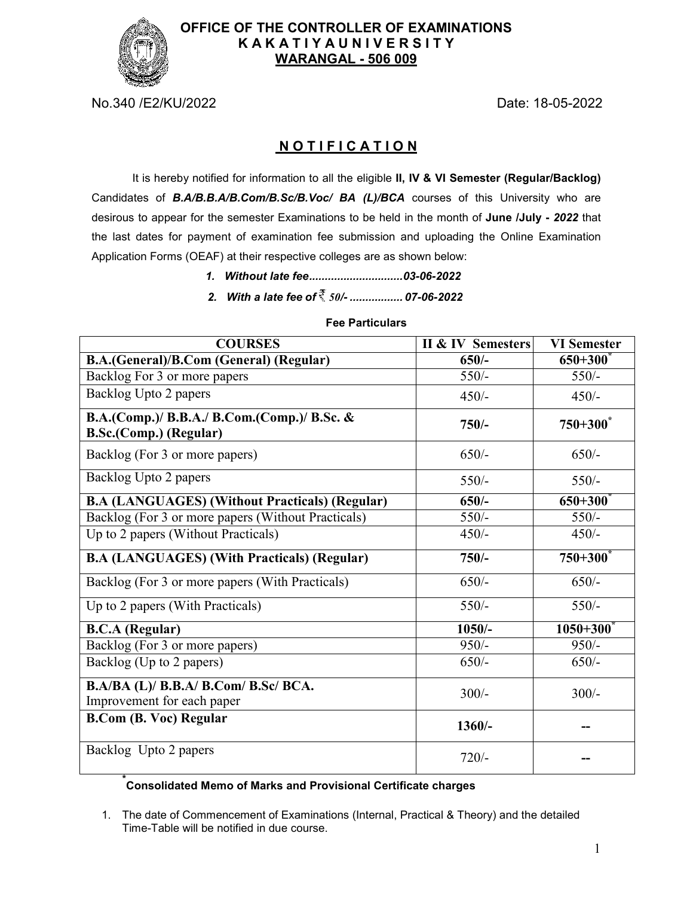

## **OFFICE OF THE CONTROLLER OF EXAMINATIONS K A K A T I Y A U N I V E R S I T Y WARANGAL - 506 009**

No.340 /E2/KU/2022 Date: 18-05-2022

## **N O T I F I C A T I O N**

It is hereby notified for information to all the eligible **II, IV & VI Semester (Regular/Backlog)**  Candidates of *B.A/B.B.A/B.Com/B.Sc/B.Voc/ BA (L)/BCA* courses of this University who are desirous to appear for the semester Examinations to be held in the month of **June /July -** *2022* that the last dates for payment of examination fee submission and uploading the Online Examination Application Forms (OEAF) at their respective colleges are as shown below:

- *1. Without late fee .............................. 03-06-2022*
- *2. With a late fee of 50/- ................. 07-06-2022*

# **B.A.(General)/B.Com (General) (Regular) 650/- 650+300\*** Backlog For 3 or more papers 550/- 550/-Backlog Upto 2 papers  $450/ 450/-$ **B.A.(Comp.)/ B.B.A./ B.Com.(Comp.)/ B.Sc. & B.A.(Comp.)/ B.B.A./ B.Com.(Comp.)/ B.Sc. & 750/-** 750/- 750+300<sup>\*</sup> <br>B.Sc.(Comp.) (Regular) Backlog (For 3 or more papers) 650/- 650/- 650/-Backlog Upto 2 papers 550/- 550/-**B.A (LANGUAGES) (Without Practicals) (Regular) 650/- 650+300\*** Backlog (For 3 or more papers (Without Practicals) 550/- 550/- 550/-Up to 2 papers (Without Practicals)  $450/-$  450/-**B.A (LANGUAGES) (With Practicals) (Regular) 750/- 750+300\*** Backlog (For 3 or more papers (With Practicals) 650/- 650/- 650/-Up to 2 papers (With Practicals)  $550/-$  550/-**B.C.A (Regular) 1050/- 1050+300\*** Backlog (For 3 or more papers) 950/- 950/- 950/-Backlog (Up to 2 papers)  $\begin{array}{|l|}\n\hline\n650/-\n\end{array}$  650/-**B.A/BA (L)/ B.B.A/ B.Com/ B.Sc/ BCA.**  $\text{Improvement}$  for each paper 300/-<br> $\text{Improvement}$  for each paper **B.Com (B. Voc) Regular 1360/-** 1360/-

#### **Fee Particulars**

**COURSES II & IV Semesters VI Semester**

# **\* Consolidated Memo of Marks and Provisional Certificate charges**

Backlog Upto 2 papers 720/-

1. The date of Commencement of Examinations (Internal, Practical & Theory) and the detailed Time-Table will be notified in due course.